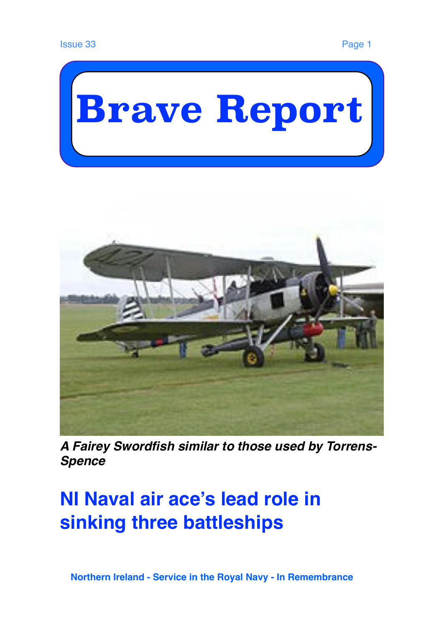



*A Fairey Swordfish similar to those used by Torrens-Spence*

# **NI Naval air ace's lead role in sinking three battleships**

 **Northern Ireland - Service in the Royal Navy - In Remembrance**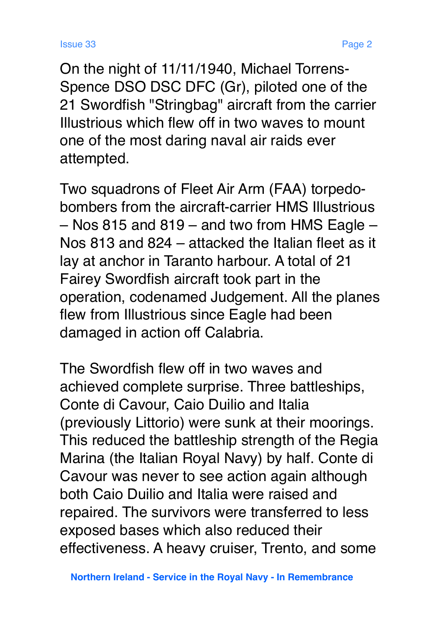On the night of 11/11/1940, Michael Torrens-Spence DSO DSC DFC (Gr), piloted one of the 21 Swordfish "Stringbag" aircraft from the carrier Illustrious which flew off in two waves to mount one of the most daring naval air raids ever attempted.

Two squadrons of Fleet Air Arm (FAA) torpedobombers from the aircraft-carrier HMS Illustrious – Nos 815 and 819 – and two from HMS Eagle – Nos 813 and 824 – attacked the Italian fleet as it lay at anchor in Taranto harbour. A total of 21 Fairey Swordfish aircraft took part in the operation, codenamed Judgement. All the planes flew from Illustrious since Eagle had been damaged in action off Calabria.

The Swordfish flew off in two waves and achieved complete surprise. Three battleships, Conte di Cavour, Caio Duilio and Italia (previously Littorio) were sunk at their moorings. This reduced the battleship strength of the Regia Marina (the Italian Royal Navy) by half. Conte di Cavour was never to see action again although both Caio Duilio and Italia were raised and repaired. The survivors were transferred to less exposed bases which also reduced their effectiveness. A heavy cruiser, Trento, and some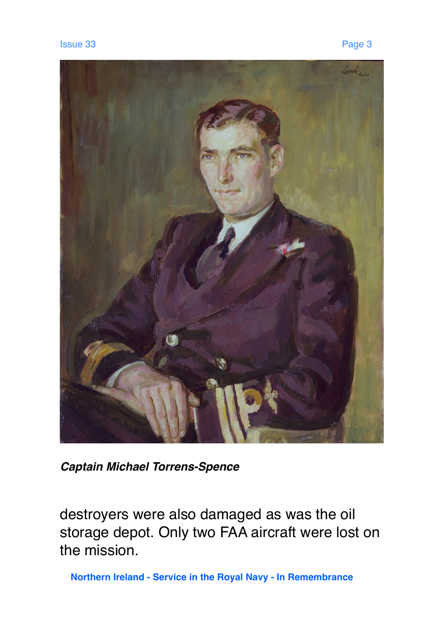

*Captain Michael Torrens-Spence* 

destroyers were also damaged as was the oil storage depot. Only two FAA aircraft were lost on the mission.

 **Northern Ireland - Service in the Royal Navy - In Remembrance**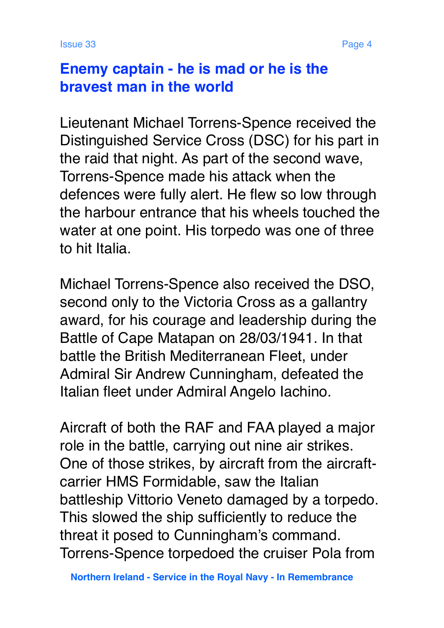## **Enemy captain - he is mad or he is the bravest man in the world**

Lieutenant Michael Torrens-Spence received the Distinguished Service Cross (DSC) for his part in the raid that night. As part of the second wave, Torrens-Spence made his attack when the defences were fully alert. He flew so low through the harbour entrance that his wheels touched the water at one point. His torpedo was one of three to hit Italia.

Michael Torrens-Spence also received the DSO, second only to the Victoria Cross as a gallantry award, for his courage and leadership during the Battle of Cape Matapan on 28/03/1941. In that battle the British Mediterranean Fleet, under Admiral Sir Andrew Cunningham, defeated the Italian fleet under Admiral Angelo Iachino.

Aircraft of both the RAF and FAA played a major role in the battle, carrying out nine air strikes. One of those strikes, by aircraft from the aircraftcarrier HMS Formidable, saw the Italian battleship Vittorio Veneto damaged by a torpedo. This slowed the ship sufficiently to reduce the threat it posed to Cunningham's command. Torrens-Spence torpedoed the cruiser Pola from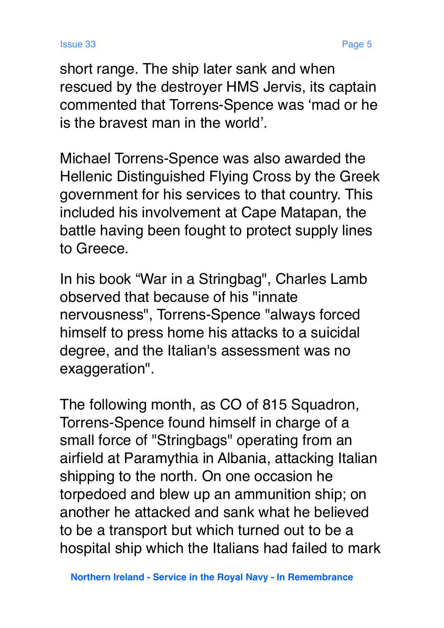short range. The ship later sank and when rescued by the destroyer HMS Jervis, its captain commented that Torrens-Spence was 'mad or he is the bravest man in the world'.

Michael Torrens-Spence was also awarded the Hellenic Distinguished Flying Cross by the Greek government for his services to that country. This included his involvement at Cape Matapan, the battle having been fought to protect supply lines to Greece.

In his book "War in a Stringbag", Charles Lamb observed that because of his "innate nervousness", Torrens-Spence "always forced himself to press home his attacks to a suicidal degree, and the Italian's assessment was no exaggeration".

The following month, as CO of 815 Squadron, Torrens-Spence found himself in charge of a small force of "Stringbags" operating from an airfield at Paramythia in Albania, attacking Italian shipping to the north. On one occasion he torpedoed and blew up an ammunition ship; on another he attacked and sank what he believed to be a transport but which turned out to be a hospital ship which the Italians had failed to mark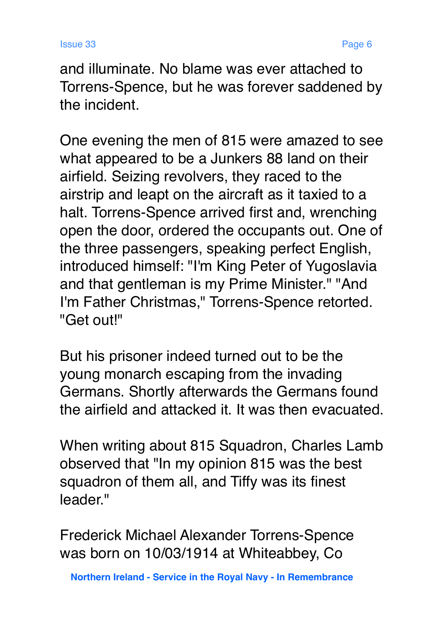and illuminate. No blame was ever attached to Torrens-Spence, but he was forever saddened by the incident.

One evening the men of 815 were amazed to see what appeared to be a Junkers 88 land on their airfield. Seizing revolvers, they raced to the airstrip and leapt on the aircraft as it taxied to a halt. Torrens-Spence arrived first and, wrenching open the door, ordered the occupants out. One of the three passengers, speaking perfect English, introduced himself: "I'm King Peter of Yugoslavia and that gentleman is my Prime Minister." "And I'm Father Christmas," Torrens-Spence retorted. "Get out!"

But his prisoner indeed turned out to be the young monarch escaping from the invading Germans. Shortly afterwards the Germans found the airfield and attacked it. It was then evacuated.

When writing about 815 Squadron, Charles Lamb observed that "In my opinion 815 was the best squadron of them all, and Tiffy was its finest leader."

Frederick Michael Alexander Torrens-Spence was born on 10/03/1914 at Whiteabbey, Co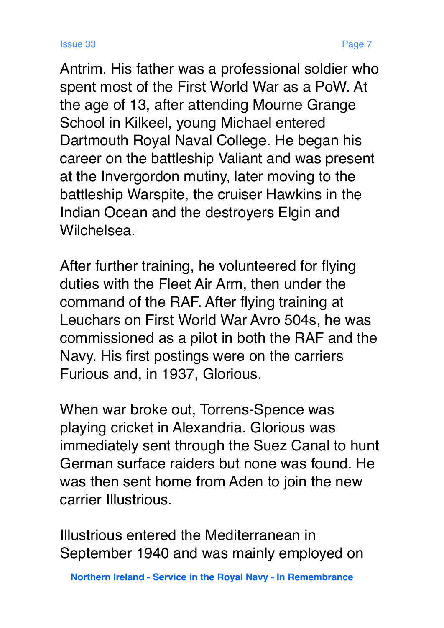Wilchelsea.

Antrim. His father was a professional soldier who spent most of the First World War as a PoW. At the age of 13, after attending Mourne Grange School in Kilkeel, young Michael entered Dartmouth Royal Naval College. He began his career on the battleship Valiant and was present at the Invergordon mutiny, later moving to the battleship Warspite, the cruiser Hawkins in the Indian Ocean and the destroyers Elgin and

After further training, he volunteered for flying duties with the Fleet Air Arm, then under the command of the RAF. After flying training at Leuchars on First World War Avro 504s, he was commissioned as a pilot in both the RAF and the Navy. His first postings were on the carriers Furious and, in 1937, Glorious.

When war broke out, Torrens-Spence was playing cricket in Alexandria. Glorious was immediately sent through the Suez Canal to hunt German surface raiders but none was found. He was then sent home from Aden to join the new carrier Illustrious.

Illustrious entered the Mediterranean in September 1940 and was mainly employed on

 **Northern Ireland - Service in the Royal Navy - In Remembrance**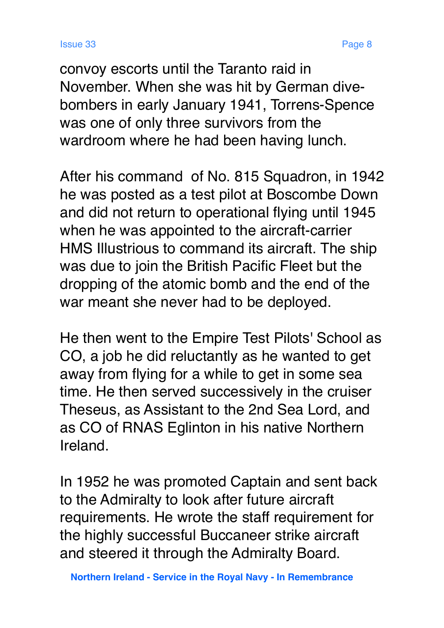convoy escorts until the Taranto raid in November. When she was hit by German divebombers in early January 1941, Torrens-Spence was one of only three survivors from the wardroom where he had been having lunch.

After his command of No. 815 Squadron, in 1942 he was posted as a test pilot at Boscombe Down and did not return to operational flying until 1945 when he was appointed to the aircraft-carrier HMS Illustrious to command its aircraft. The ship was due to join the British Pacific Fleet but the dropping of the atomic bomb and the end of the war meant she never had to be deployed.

He then went to the Empire Test Pilots' School as CO, a job he did reluctantly as he wanted to get away from flying for a while to get in some sea time. He then served successively in the cruiser Theseus, as Assistant to the 2nd Sea Lord, and as CO of RNAS Eglinton in his native Northern Ireland.

In 1952 he was promoted Captain and sent back to the Admiralty to look after future aircraft requirements. He wrote the staff requirement for the highly successful Buccaneer strike aircraft and steered it through the Admiralty Board.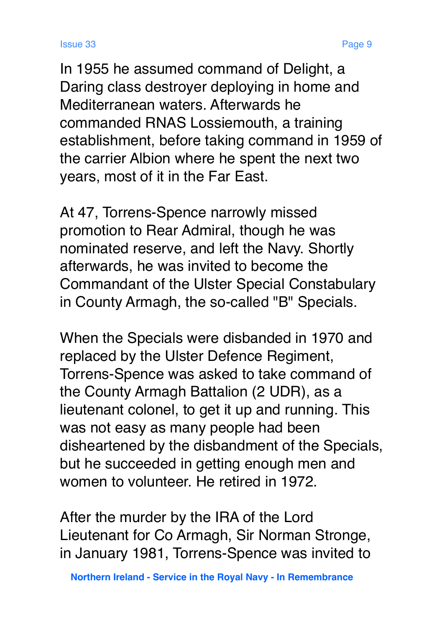In 1955 he assumed command of Delight, a Daring class destroyer deploying in home and Mediterranean waters. Afterwards he commanded RNAS Lossiemouth, a training establishment, before taking command in 1959 of the carrier Albion where he spent the next two years, most of it in the Far East.

At 47, Torrens-Spence narrowly missed promotion to Rear Admiral, though he was nominated reserve, and left the Navy. Shortly afterwards, he was invited to become the Commandant of the Ulster Special Constabulary in County Armagh, the so-called "B" Specials.

When the Specials were disbanded in 1970 and replaced by the Ulster Defence Regiment, Torrens-Spence was asked to take command of the County Armagh Battalion (2 UDR), as a lieutenant colonel, to get it up and running. This was not easy as many people had been disheartened by the disbandment of the Specials, but he succeeded in getting enough men and women to volunteer. He retired in 1972.

After the murder by the IRA of the Lord Lieutenant for Co Armagh, Sir Norman Stronge, in January 1981, Torrens-Spence was invited to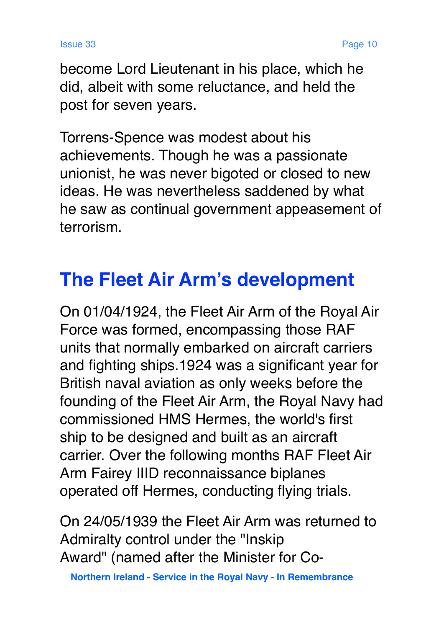become Lord Lieutenant in his place, which he did, albeit with some reluctance, and held the post for seven years.

Torrens-Spence was modest about his achievements. Though he was a passionate unionist, he was never bigoted or closed to new ideas. He was nevertheless saddened by what he saw as continual government appeasement of terrorism.

# **The Fleet Air Arm's development**

On 01/04/1924, the Fleet Air Arm of the Royal Air Force was formed, encompassing those RAF units that normally embarked on aircraft carriers and fighting ships.1924 was a significant year for British naval aviation as only weeks before the founding of the Fleet Air Arm, the Royal Navy had commissioned HMS Hermes, the world's first ship to be designed and built as an aircraft carrier. Over the following months RAF Fleet Air Arm Fairey IIID reconnaissance biplanes operated off Hermes, conducting flying trials.

On 24/05/1939 the Fleet Air Arm was returned to Admiralty control under the "Inskip Award" (named after the Minister for Co-

 **Northern Ireland - Service in the Royal Navy - In Remembrance**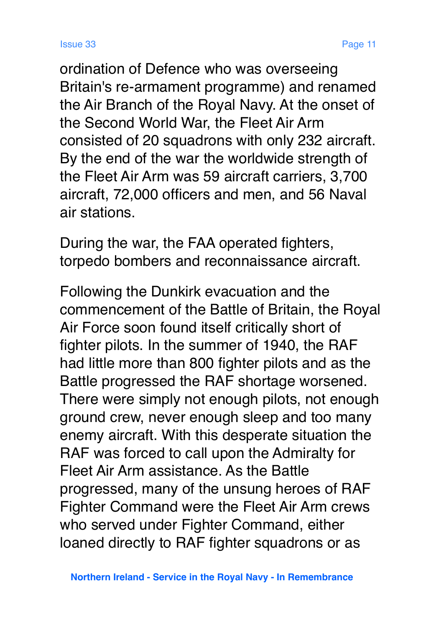ordination of Defence who was overseeing Britain's re-armament programme) and renamed the Air Branch of the Royal Navy. At the onset of the Second World War, the Fleet Air Arm consisted of 20 squadrons with only 232 aircraft. By the end of the war the worldwide strength of the Fleet Air Arm was 59 aircraft carriers, 3,700 aircraft, 72,000 officers and men, and 56 Naval air stations.

During the war, the FAA operated fighters, torpedo bombers and reconnaissance aircraft.

Following the Dunkirk evacuation and the commencement of the Battle of Britain, the Royal Air Force soon found itself critically short of fighter pilots. In the summer of 1940, the RAF had little more than 800 fighter pilots and as the Battle progressed the RAF shortage worsened. There were simply not enough pilots, not enough ground crew, never enough sleep and too many enemy aircraft. With this desperate situation the RAF was forced to call upon the Admiralty for Fleet Air Arm assistance. As the Battle progressed, many of the unsung heroes of RAF Fighter Command were the Fleet Air Arm crews who served under Fighter Command, either loaned directly to RAF fighter squadrons or as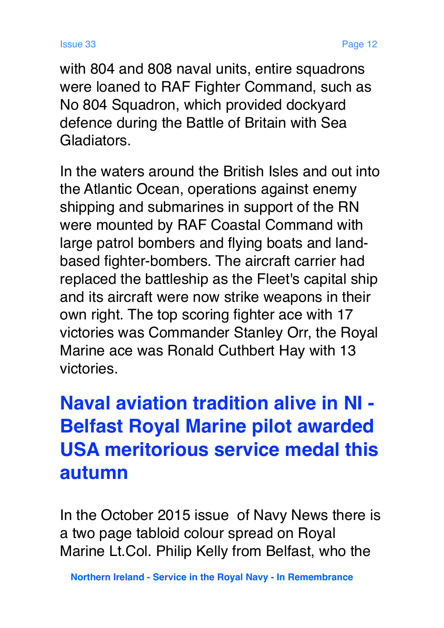with 804 and 808 naval units, entire squadrons were loaned to RAF Fighter Command, such as No 804 Squadron, which provided dockyard defence during the Battle of Britain with Sea Gladiators.

In the waters around the British Isles and out into the Atlantic Ocean, operations against enemy shipping and submarines in support of the RN were mounted by RAF Coastal Command with large patrol bombers and flying boats and landbased fighter-bombers. The aircraft carrier had replaced the battleship as the Fleet's capital ship and its aircraft were now strike weapons in their own right. The top scoring fighter ace with 17 victories was Commander Stanley Orr, the Royal Marine ace was Ronald Cuthbert Hay with 13 victories.

# **Naval aviation tradition alive in NI - Belfast Royal Marine pilot awarded USA meritorious service medal this autumn**

In the October 2015 issue of Navy News there is a two page tabloid colour spread on Royal Marine Lt.Col. Philip Kelly from Belfast, who the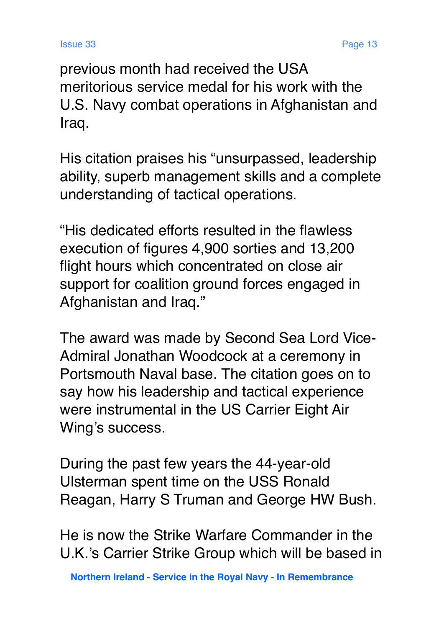previous month had received the USA meritorious service medal for his work with the U.S. Navy combat operations in Afghanistan and Iraq.

His citation praises his "unsurpassed, leadership ability, superb management skills and a complete understanding of tactical operations.

"His dedicated efforts resulted in the flawless execution of figures 4,900 sorties and 13,200 flight hours which concentrated on close air support for coalition ground forces engaged in Afghanistan and Iraq."

The award was made by Second Sea Lord Vice-Admiral Jonathan Woodcock at a ceremony in Portsmouth Naval base. The citation goes on to say how his leadership and tactical experience were instrumental in the US Carrier Eight Air Wing's success.

During the past few years the 44-year-old Ulsterman spent time on the USS Ronald Reagan, Harry S Truman and George HW Bush.

He is now the Strike Warfare Commander in the U.K.'s Carrier Strike Group which will be based in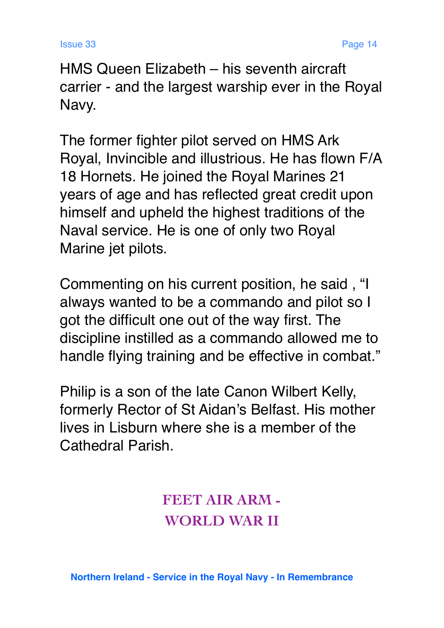HMS Queen Elizabeth – his seventh aircraft carrier - and the largest warship ever in the Royal Navy.

The former fighter pilot served on HMS Ark Royal, Invincible and illustrious. He has flown F/A 18 Hornets. He joined the Royal Marines 21 years of age and has reflected great credit upon himself and upheld the highest traditions of the Naval service. He is one of only two Royal Marine jet pilots.

Commenting on his current position, he said , "I always wanted to be a commando and pilot so I got the difficult one out of the way first. The discipline instilled as a commando allowed me to handle flying training and be effective in combat."

Philip is a son of the late Canon Wilbert Kelly, formerly Rector of St Aidan's Belfast. His mother lives in Lisburn where she is a member of the Cathedral Parish.

> **FEET AIR ARM - WORLD WAR II**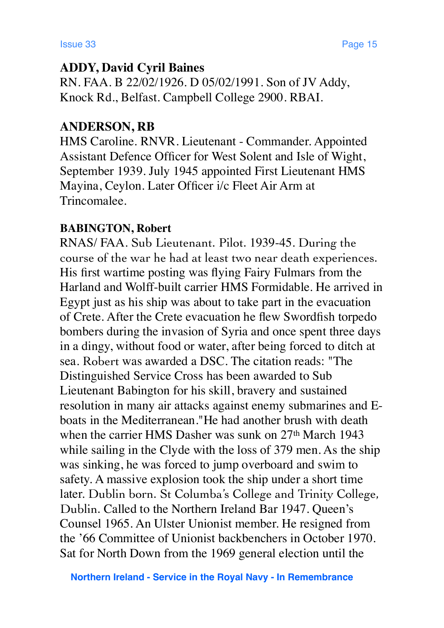### **ADDY, David Cyril Baines**

RN. FAA. B 22/02/1926. D 05/02/1991. Son of JV Addy, Knock Rd., Belfast. Campbell College 2900. RBAI.

### **ANDERSON, RB**

HMS Caroline. RNVR. Lieutenant - Commander. Appointed Assistant Defence Officer for West Solent and Isle of Wight, September 1939. July 1945 appointed First Lieutenant HMS Mayina, Ceylon. Later Officer i/c Fleet Air Arm at Trincomalee.

### **BABINGTON, Robert**

RNAS/ FAA. Sub Lieutenant. Pilot. 1939-45. During the course of the war he had at least two near death experiences. His first wartime posting was flying Fairy Fulmars from the Harland and Wolff-built carrier HMS Formidable. He arrived in Egypt just as his ship was about to take part in the evacuation of Crete. After the Crete evacuation he flew Swordfish torpedo bombers during the invasion of Syria and once spent three days in a dingy, without food or water, after being forced to ditch at sea. Robert was awarded a DSC. The citation reads: "The Distinguished Service Cross has been awarded to Sub Lieutenant Babington for his skill, bravery and sustained resolution in many air attacks against enemy submarines and Eboats in the Mediterranean."He had another brush with death when the carrier HMS Dasher was sunk on 27<sup>th</sup> March 1943 while sailing in the Clyde with the loss of 379 men. As the ship was sinking, he was forced to jump overboard and swim to safety. A massive explosion took the ship under a short time later. Dublin born. St Columba's College and Trinity College, Dublin. Called to the Northern Ireland Bar 1947. Queen's Counsel 1965. An Ulster Unionist member. He resigned from the '66 Committee of Unionist backbenchers in October 1970. Sat for North Down from the 1969 general election until the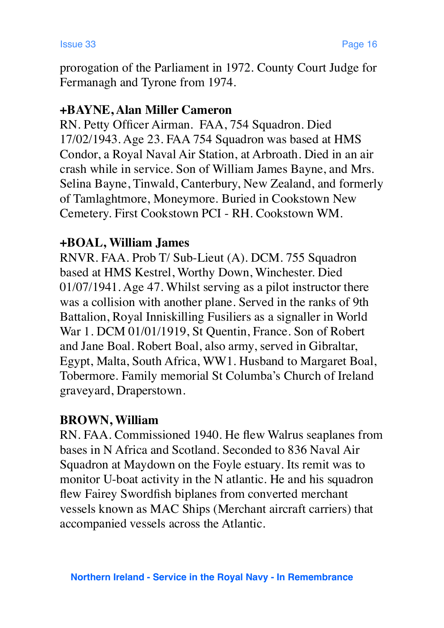prorogation of the Parliament in 1972. County Court Judge for Fermanagh and Tyrone from 1974.

### **+BAYNE, Alan Miller Cameron**

RN. Petty Officer Airman. FAA, 754 Squadron. Died 17/02/1943. Age 23. FAA 754 Squadron was based at HMS Condor, a Royal Naval Air Station, at Arbroath. Died in an air crash while in service. Son of William James Bayne, and Mrs. Selina Bayne, Tinwald, Canterbury, New Zealand, and formerly of Tamlaghtmore, Moneymore. Buried in Cookstown New Cemetery. First Cookstown PCI - RH. Cookstown WM.

### **+BOAL, William James**

RNVR. FAA. Prob T/ Sub-Lieut (A). DCM. 755 Squadron based at HMS Kestrel, Worthy Down, Winchester. Died 01/07/1941. Age 47. Whilst serving as a pilot instructor there was a collision with another plane. Served in the ranks of 9th Battalion, Royal Inniskilling Fusiliers as a signaller in World War 1. DCM 01/01/1919, St Quentin, France. Son of Robert and Jane Boal. Robert Boal, also army, served in Gibraltar, Egypt, Malta, South Africa, WW1. Husband to Margaret Boal, Tobermore. Family memorial St Columba's Church of Ireland graveyard, Draperstown.

### **BROWN, William**

RN. FAA. Commissioned 1940. He flew Walrus seaplanes from bases in N Africa and Scotland. Seconded to 836 Naval Air Squadron at Maydown on the Foyle estuary. Its remit was to monitor U-boat activity in the N atlantic. He and his squadron flew Fairey Swordfish biplanes from converted merchant vessels known as MAC Ships (Merchant aircraft carriers) that accompanied vessels across the Atlantic.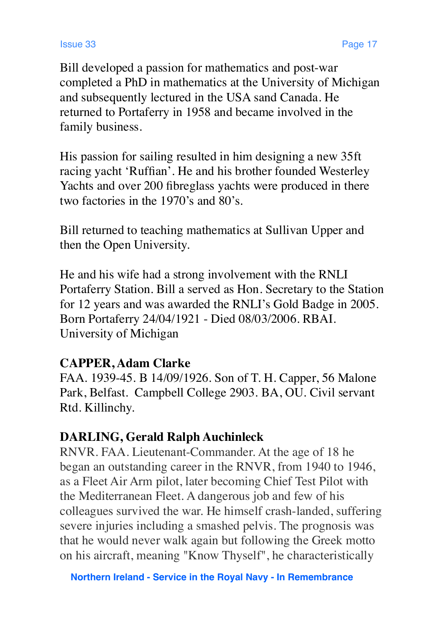Bill developed a passion for mathematics and post-war completed a PhD in mathematics at the University of Michigan and subsequently lectured in the USA sand Canada. He returned to Portaferry in 1958 and became involved in the family business.

His passion for sailing resulted in him designing a new 35ft racing yacht 'Ruffian'. He and his brother founded Westerley Yachts and over 200 fibreglass yachts were produced in there two factories in the 1970's and 80's.

Bill returned to teaching mathematics at Sullivan Upper and then the Open University.

He and his wife had a strong involvement with the RNLI Portaferry Station. Bill a served as Hon. Secretary to the Station for 12 years and was awarded the RNLI's Gold Badge in 2005. Born Portaferry 24/04/1921 - Died 08/03/2006. RBAI. University of Michigan

### **CAPPER, Adam Clarke**

FAA. 1939-45. B 14/09/1926. Son of T. H. Capper, 56 Malone Park, Belfast. Campbell College 2903. BA, OU. Civil servant Rtd. Killinchy.

### **DARLING, Gerald Ralph Auchinleck**

RNVR. FAA. Lieutenant-Commander. At the age of 18 he began an outstanding career in the RNVR, from 1940 to 1946, as a Fleet Air Arm pilot, later becoming Chief Test Pilot with the Mediterranean Fleet. A dangerous job and few of his colleagues survived the war. He himself crash-landed, suffering severe injuries including a smashed pelvis. The prognosis was that he would never walk again but following the Greek motto on his aircraft, meaning "Know Thyself", he characteristically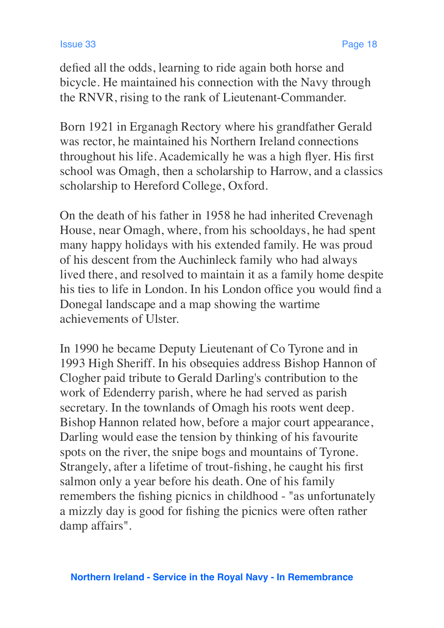defied all the odds, learning to ride again both horse and bicycle. He maintained his connection with the Navy through the RNVR, rising to the rank of Lieutenant-Commander.

Born 1921 in Erganagh Rectory where his grandfather Gerald was rector, he maintained his Northern Ireland connections throughout his life. Academically he was a high flyer. His first school was Omagh, then a scholarship to Harrow, and a classics scholarship to Hereford College, Oxford.

On the death of his father in 1958 he had inherited Crevenagh House, near Omagh, where, from his schooldays, he had spent many happy holidays with his extended family. He was proud of his descent from the Auchinleck family who had always lived there, and resolved to maintain it as a family home despite his ties to life in London. In his London office you would find a Donegal landscape and a map showing the wartime achievements of Ulster.

In 1990 he became Deputy Lieutenant of Co Tyrone and in 1993 High Sheriff. In his obsequies address Bishop Hannon of Clogher paid tribute to Gerald Darling's contribution to the work of Edenderry parish, where he had served as parish secretary. In the townlands of Omagh his roots went deep. Bishop Hannon related how, before a major court appearance, Darling would ease the tension by thinking of his favourite spots on the river, the snipe bogs and mountains of Tyrone. Strangely, after a lifetime of trout-fishing, he caught his first salmon only a year before his death. One of his family remembers the fishing picnics in childhood - "as unfortunately a mizzly day is good for fishing the picnics were often rather damp affairs".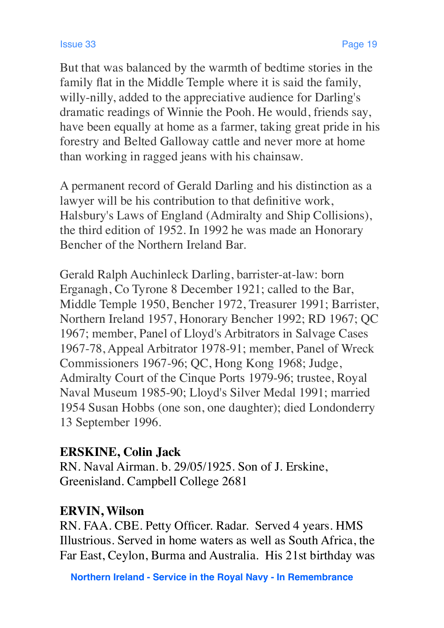But that was balanced by the warmth of bedtime stories in the family flat in the Middle Temple where it is said the family, willy-nilly, added to the appreciative audience for Darling's dramatic readings of Winnie the Pooh. He would, friends say, have been equally at home as a farmer, taking great pride in his forestry and Belted Galloway cattle and never more at home than working in ragged jeans with his chainsaw.

A permanent record of Gerald Darling and his distinction as a lawyer will be his contribution to that definitive work, Halsbury's Laws of England (Admiralty and Ship Collisions), the third edition of 1952. In 1992 he was made an Honorary Bencher of the Northern Ireland Bar.

Gerald Ralph Auchinleck Darling, barrister-at-law: born Erganagh, Co Tyrone 8 December 1921; called to the Bar, Middle Temple 1950, Bencher 1972, Treasurer 1991; Barrister, Northern Ireland 1957, Honorary Bencher 1992; RD 1967; QC 1967; member, Panel of Lloyd's Arbitrators in Salvage Cases 1967-78, Appeal Arbitrator 1978-91; member, Panel of Wreck Commissioners 1967-96; QC, Hong Kong 1968; Judge, Admiralty Court of the Cinque Ports 1979-96; trustee, Royal Naval Museum 1985-90; Lloyd's Silver Medal 1991; married 1954 Susan Hobbs (one son, one daughter); died Londonderry 13 September 1996.

### **ERSKINE, Colin Jack**

RN. Naval Airman. b. 29/05/1925. Son of J. Erskine, Greenisland. Campbell College 2681

### **ERVIN, Wilson**

RN. FAA. CBE. Petty Officer. Radar. Served 4 years. HMS Illustrious. Served in home waters as well as South Africa, the Far East, Ceylon, Burma and Australia. His 21st birthday was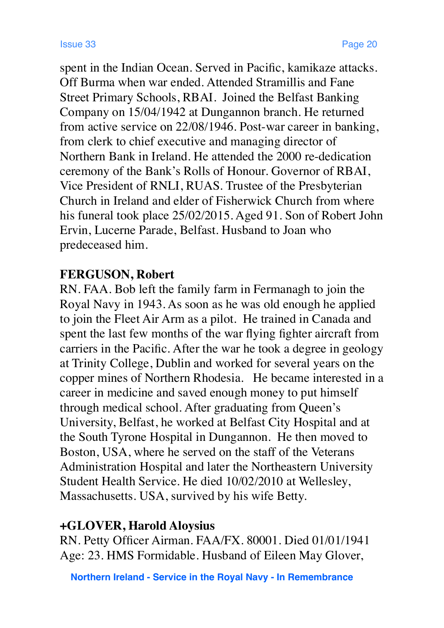spent in the Indian Ocean. Served in Pacific, kamikaze attacks. Off Burma when war ended. Attended Stramillis and Fane Street Primary Schools, RBAI. Joined the Belfast Banking Company on 15/04/1942 at Dungannon branch. He returned from active service on 22/08/1946. Post-war career in banking, from clerk to chief executive and managing director of Northern Bank in Ireland. He attended the 2000 re-dedication ceremony of the Bank's Rolls of Honour. Governor of RBAI, Vice President of RNLI, RUAS. Trustee of the Presbyterian Church in Ireland and elder of Fisherwick Church from where his funeral took place 25/02/2015. Aged 91. Son of Robert John Ervin, Lucerne Parade, Belfast. Husband to Joan who predeceased him.

### **FERGUSON, Robert**

RN. FAA. Bob left the family farm in Fermanagh to join the Royal Navy in 1943. As soon as he was old enough he applied to join the Fleet Air Arm as a pilot. He trained in Canada and spent the last few months of the war flying fighter aircraft from carriers in the Pacific. After the war he took a degree in geology at Trinity College, Dublin and worked for several years on the copper mines of Northern Rhodesia. He became interested in a career in medicine and saved enough money to put himself through medical school. After graduating from Queen's University, Belfast, he worked at Belfast City Hospital and at the South Tyrone Hospital in Dungannon. He then moved to Boston, USA, where he served on the staff of the Veterans Administration Hospital and later the Northeastern University Student Health Service. He died 10/02/2010 at Wellesley, Massachusetts. USA, survived by his wife Betty.

### **+GLOVER, Harold Aloysius**

RN. Petty Officer Airman. FAA/FX. 80001. Died 01/01/1941 Age: 23. HMS Formidable. Husband of Eileen May Glover,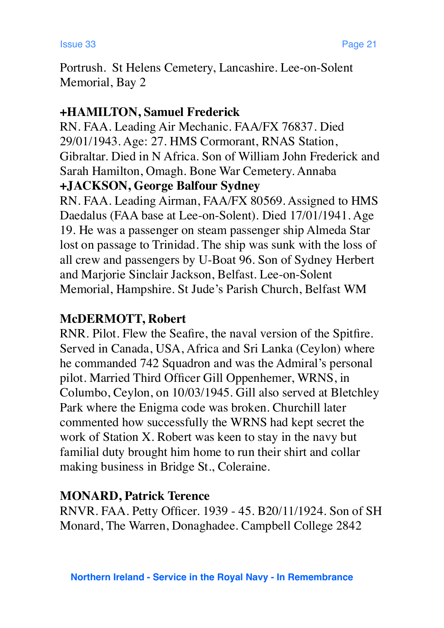Portrush. St Helens Cemetery, Lancashire. Lee-on-Solent Memorial, Bay 2

### **+HAMILTON, Samuel Frederick**

RN. FAA. Leading Air Mechanic. FAA/FX 76837. Died 29/01/1943. Age: 27. HMS Cormorant, RNAS Station, Gibraltar. Died in N Africa. Son of William John Frederick and Sarah Hamilton, Omagh. Bone War Cemetery. Annaba **+JACKSON, George Balfour Sydney**

RN. FAA. Leading Airman, FAA/FX 80569. Assigned to HMS Daedalus (FAA base at Lee-on-Solent). Died 17/01/1941. Age 19. He was a passenger on steam passenger ship Almeda Star lost on passage to Trinidad. The ship was sunk with the loss of all crew and passengers by U-Boat 96. Son of Sydney Herbert and Marjorie Sinclair Jackson, Belfast. Lee-on-Solent Memorial, Hampshire. St Jude's Parish Church, Belfast WM

### **McDERMOTT, Robert**

RNR. Pilot. Flew the Seafire, the naval version of the Spitfire. Served in Canada, USA, Africa and Sri Lanka (Ceylon) where he commanded 742 Squadron and was the Admiral's personal pilot. Married Third Officer Gill Oppenhemer, WRNS, in Columbo, Ceylon, on 10/03/1945. Gill also served at Bletchley Park where the Enigma code was broken. Churchill later commented how successfully the WRNS had kept secret the work of Station X. Robert was keen to stay in the navy but familial duty brought him home to run their shirt and collar making business in Bridge St., Coleraine.

### **MONARD, Patrick Terence**

RNVR. FAA. Petty Officer. 1939 - 45. B20/11/1924. Son of SH Monard, The Warren, Donaghadee. Campbell College 2842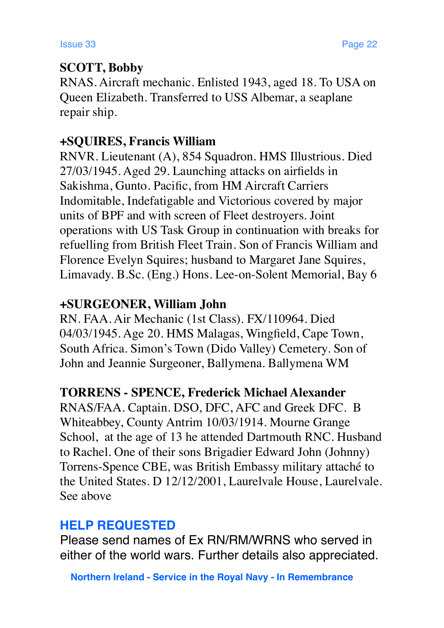### **SCOTT, Bobby**

RNAS. Aircraft mechanic. Enlisted 1943, aged 18. To USA on Queen Elizabeth. Transferred to USS Albemar, a seaplane repair ship.

### **+SQUIRES, Francis William**

RNVR. Lieutenant (A), 854 Squadron. HMS Illustrious. Died 27/03/1945. Aged 29. Launching attacks on airfields in Sakishma, Gunto. Pacific, from HM Aircraft Carriers Indomitable, Indefatigable and Victorious covered by major units of BPF and with screen of Fleet destroyers. Joint operations with US Task Group in continuation with breaks for refuelling from British Fleet Train. Son of Francis William and Florence Evelyn Squires; husband to Margaret Jane Squires, Limavady. B.Sc. (Eng.) Hons. Lee-on-Solent Memorial, Bay 6

### **+SURGEONER, William John**

RN. FAA. Air Mechanic (1st Class). FX/110964. Died 04/03/1945. Age 20. HMS Malagas, Wingfield, Cape Town, South Africa. Simon's Town (Dido Valley) Cemetery. Son of John and Jeannie Surgeoner, Ballymena. Ballymena WM

### **TORRENS - SPENCE, Frederick Michael Alexander**

RNAS/FAA. Captain. DSO, DFC, AFC and Greek DFC. B Whiteabbey, County Antrim 10/03/1914. Mourne Grange School, at the age of 13 he attended Dartmouth RNC. Husband to Rachel. One of their sons Brigadier Edward John (Johnny) Torrens-Spence CBE, was British Embassy military attaché to the United States. D 12/12/2001, Laurelvale House, Laurelvale. See above

## **HELP REQUESTED**

Please send names of Ex RN/RM/WRNS who served in either of the world wars. Further details also appreciated.